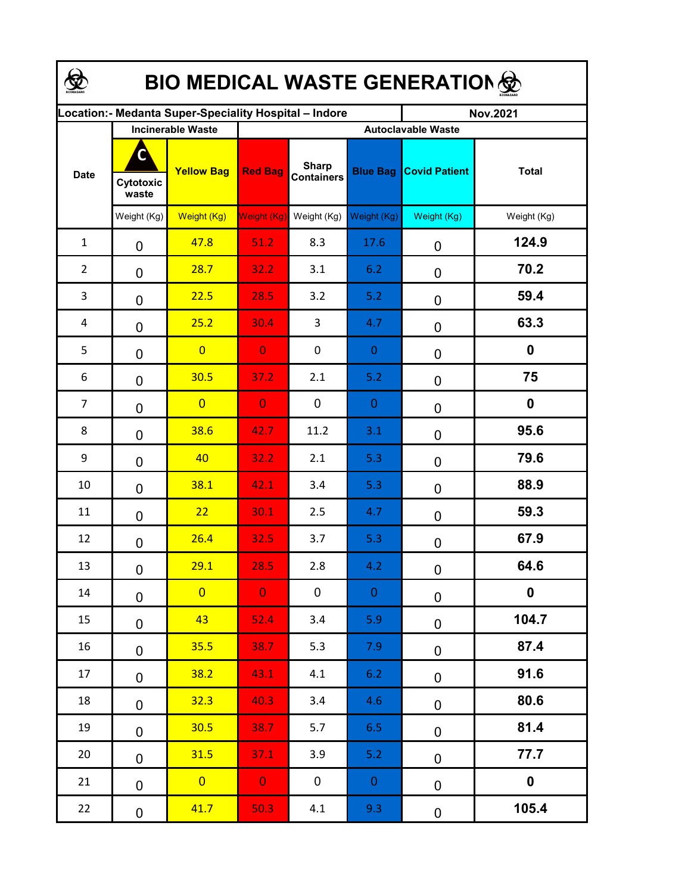| <b>BIO MEDICAL WASTE GENERATION </b>                  |                         |                                               |                |                                   |                 |                                                   |                  |  |  |  |  |
|-------------------------------------------------------|-------------------------|-----------------------------------------------|----------------|-----------------------------------|-----------------|---------------------------------------------------|------------------|--|--|--|--|
| ocation: - Medanta Super-Speciality Hospital - Indore |                         |                                               |                |                                   |                 | <b>Nov.2021</b>                                   |                  |  |  |  |  |
| <b>Date</b>                                           | С<br>Cytotoxic<br>waste | <b>Incinerable Waste</b><br><b>Yellow Bag</b> | <b>Red Bag</b> | <b>Sharp</b><br><b>Containers</b> | <b>Blue Bag</b> | <b>Autoclavable Waste</b><br><b>Covid Patient</b> | <b>Total</b>     |  |  |  |  |
|                                                       | Weight (Kg)             | Weight (Kg)                                   | Weight (Kg)    | Weight (Kg)                       | Weight (Kg)     | Weight (Kg)                                       | Weight (Kg)      |  |  |  |  |
| $\mathbf{1}$                                          | 0                       | 47.8                                          | 51.2           | 8.3                               | 17.6            | 0                                                 | 124.9            |  |  |  |  |
| $\overline{2}$                                        | $\mathbf 0$             | 28.7                                          | 32.2           | 3.1                               | 6.2             | 0                                                 | 70.2             |  |  |  |  |
| 3                                                     | $\mathbf 0$             | 22.5                                          | 28.5           | 3.2                               | 5.2             | 0                                                 | 59.4             |  |  |  |  |
| 4                                                     | 0                       | 25.2                                          | 30.4           | 3                                 | 4.7             | 0                                                 | 63.3             |  |  |  |  |
| 5                                                     | 0                       | $\overline{0}$                                | $\overline{0}$ | 0                                 | $\mathbf{0}$    | 0                                                 | $\boldsymbol{0}$ |  |  |  |  |
| 6                                                     | 0                       | 30.5                                          | 37.2           | 2.1                               | 5.2             | 0                                                 | 75               |  |  |  |  |
| $\overline{7}$                                        | 0                       | $\overline{0}$                                | $\overline{0}$ | $\mathbf 0$                       | $\overline{0}$  | 0                                                 | $\mathbf 0$      |  |  |  |  |
| 8                                                     | $\mathbf 0$             | 38.6                                          | 42.7           | 11.2                              | 3.1             | 0                                                 | 95.6             |  |  |  |  |
| 9                                                     | $\mathbf 0$             | 40                                            | 32.2           | 2.1                               | 5.3             | 0                                                 | 79.6             |  |  |  |  |
| 10                                                    | $\mathbf 0$             | 38.1                                          | 42.1           | 3.4                               | 5.3             | 0                                                 | 88.9             |  |  |  |  |
| 11                                                    | 0                       | 22                                            | 30.1           | 2.5                               | 4.7             | 0                                                 | 59.3             |  |  |  |  |
| 12                                                    | $\mathbf 0$             | 26.4                                          | 32.5           | 3.7                               | 5.3             | 0                                                 | 67.9             |  |  |  |  |
| 13                                                    | 0                       | 29.1                                          | 28.5           | 2.8                               | 4.2             | 0                                                 | 64.6             |  |  |  |  |
| 14                                                    | 0                       | $\overline{0}$                                | $\mathbf{O}$   | $\mathbf 0$                       | $\overline{0}$  | $\pmb{0}$                                         | $\boldsymbol{0}$ |  |  |  |  |
| 15                                                    | 0                       | 43                                            | 52.4           | 3.4                               | 5.9             | $\pmb{0}$                                         | 104.7            |  |  |  |  |
| 16                                                    | 0                       | 35.5                                          | 38.7           | 5.3                               | 7.9             | $\pmb{0}$                                         | 87.4             |  |  |  |  |
| 17                                                    | $\mathbf 0$             | 38.2                                          | 43.1           | 4.1                               | 6.2             | $\pmb{0}$                                         | 91.6             |  |  |  |  |
| 18                                                    | $\mathbf 0$             | 32.3                                          | 40.3           | 3.4                               | 4.6             | $\pmb{0}$                                         | 80.6             |  |  |  |  |
| 19                                                    | $\mathbf 0$             | 30.5                                          | 38.7           | 5.7                               | 6.5             | $\pmb{0}$                                         | 81.4             |  |  |  |  |
| 20                                                    | 0                       | 31.5                                          | 37.1           | 3.9                               | 5.2             | 0                                                 | 77.7             |  |  |  |  |
| 21                                                    | 0                       | $\overline{0}$                                | $\mathbf{0}$   | $\mathbf 0$                       | $\overline{0}$  | 0                                                 | $\boldsymbol{0}$ |  |  |  |  |
| 22                                                    | 0                       | 41.7                                          | 50.3           | 4.1                               | 9.3             | $\pmb{0}$                                         | 105.4            |  |  |  |  |